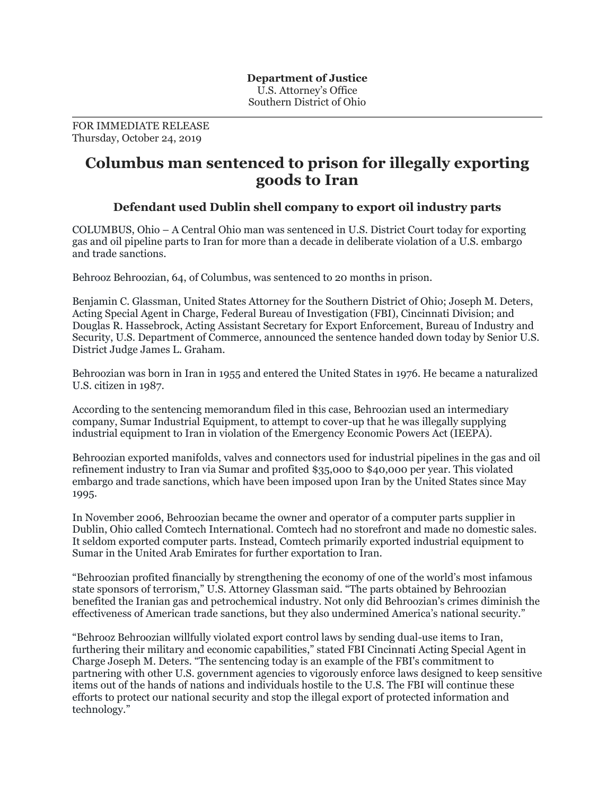FOR IMMEDIATE RELEASE Thursday, October 24, 2019

## **Columbus man sentenced to prison for illegally exporting goods to Iran**

## **Defendant used Dublin shell company to export oil industry parts**

COLUMBUS, Ohio – A Central Ohio man was sentenced in U.S. District Court today for exporting gas and oil pipeline parts to Iran for more than a decade in deliberate violation of a U.S. embargo and trade sanctions.

Behrooz Behroozian, 64, of Columbus, was sentenced to 20 months in prison.

Benjamin C. Glassman, United States Attorney for the Southern District of Ohio; Joseph M. Deters, Acting Special Agent in Charge, Federal Bureau of Investigation (FBI), Cincinnati Division; and Douglas R. Hassebrock, Acting Assistant Secretary for Export Enforcement, Bureau of Industry and Security, U.S. Department of Commerce, announced the sentence handed down today by Senior U.S. District Judge James L. Graham.

Behroozian was born in Iran in 1955 and entered the United States in 1976. He became a naturalized U.S. citizen in 1987.

According to the sentencing memorandum filed in this case, Behroozian used an intermediary company, Sumar Industrial Equipment, to attempt to cover-up that he was illegally supplying industrial equipment to Iran in violation of the Emergency Economic Powers Act (IEEPA).

Behroozian exported manifolds, valves and connectors used for industrial pipelines in the gas and oil refinement industry to Iran via Sumar and profited \$35,000 to \$40,000 per year. This violated embargo and trade sanctions, which have been imposed upon Iran by the United States since May 1995.

In November 2006, Behroozian became the owner and operator of a computer parts supplier in Dublin, Ohio called Comtech International. Comtech had no storefront and made no domestic sales. It seldom exported computer parts. Instead, Comtech primarily exported industrial equipment to Sumar in the United Arab Emirates for further exportation to Iran.

"Behroozian profited financially by strengthening the economy of one of the world's most infamous state sponsors of terrorism," U.S. Attorney Glassman said. "The parts obtained by Behroozian benefited the Iranian gas and petrochemical industry. Not only did Behroozian's crimes diminish the effectiveness of American trade sanctions, but they also undermined America's national security."

"Behrooz Behroozian willfully violated export control laws by sending dual-use items to Iran, furthering their military and economic capabilities," stated FBI Cincinnati Acting Special Agent in Charge Joseph M. Deters. "The sentencing today is an example of the FBI's commitment to partnering with other U.S. government agencies to vigorously enforce laws designed to keep sensitive items out of the hands of nations and individuals hostile to the U.S. The FBI will continue these efforts to protect our national security and stop the illegal export of protected information and technology."